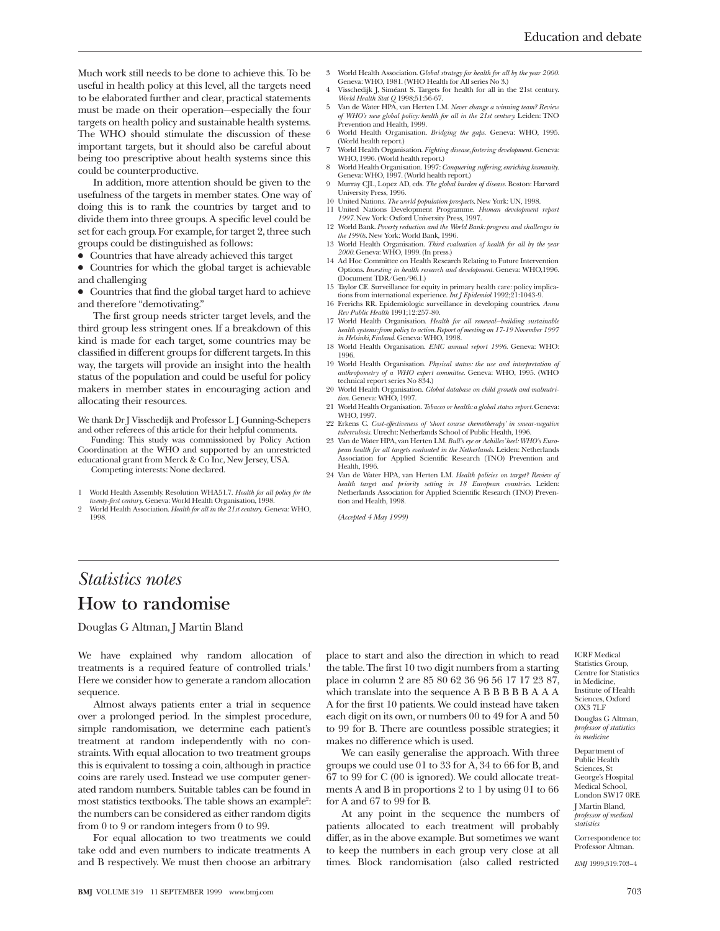Much work still needs to be done to achieve this. To be useful in health policy at this level, all the targets need to be elaborated further and clear, practical statements must be made on their operation—especially the four targets on health policy and sustainable health systems. The WHO should stimulate the discussion of these important targets, but it should also be careful about being too prescriptive about health systems since this could be counterproductive.

In addition, more attention should be given to the usefulness of the targets in member states. One way of doing this is to rank the countries by target and to divide them into three groups. A specific level could be set for each group. For example, for target 2, three such groups could be distinguished as follows:

• Countries that have already achieved this target

• Countries for which the global target is achievable and challenging

x Countries that find the global target hard to achieve and therefore "demotivating."

The first group needs stricter target levels, and the third group less stringent ones. If a breakdown of this kind is made for each target, some countries may be classified in different groups for different targets. In this way, the targets will provide an insight into the health status of the population and could be useful for policy makers in member states in encouraging action and allocating their resources.

We thank Dr J Visschedijk and Professor L J Gunning-Schepers and other referees of this article for their helpful comments.

Funding: This study was commissioned by Policy Action Coordination at the WHO and supported by an unrestricted educational grant from Merck & Co Inc, New Jersey, USA.

Competing interests: None declared.

- 1 World Health Assembly. Resolution WHA51.7. *Health for all policy for the*
- *twenty-first century.* Geneva: World Health Organisation, 1998. 2 World Health Association. *Health for all in the 21st century.* Geneva: WHO, 1998.
- 3 World Health Association. G*lobal strategy for health for all by the year 2000*.
- Geneva: WHO, 1981. (WHO Health for All series No 3.) Visschedijk J, Siméant S. Targets for health for all in the 21st century.
- *World Health Stat Q* 1998;51:56-67. 5 Van de Water HPA, van Herten LM. *Never change a winning team? Review of WHO's new global policy: health for all in the 21st century.* Leiden: TNO
- Prevention and Health, 1999. 6 World Health Organisation. *Bridging the gaps.* Geneva: WHO, 1995.
- (World health report.) 7 World Health Organisation. *Fighting disease, fostering development*. Geneva: WHO, 1996. (World health report.)
- 8 World Health Organisation. 1997: *Conquering suffering, enriching humanity.* Geneva: WHO, 1997. (World health report.)
- 9 Murray CJL, Lopez AD, eds. *The global burden of disease*. Boston: Harvard University Press, 1996.
- 10 United Nations. *The world population prospects*. New York: UN, 1998.
- 11 United Nations Development Programme. *Human development report 1997*. New York: Oxford University Press, 1997. 12 World Bank. *Poverty reduction and the World Bank: progress and challenges in*
- *the 1990s*. New York: World Bank, 1996. 13 World Health Organisation. *Third evaluation of health for all by the year*
- *2000.* Geneva: WHO, 1999. (In press.) 14 Ad Hoc Committee on Health Research Relating to Future Intervention
- Options. *Investing in health research and development.* Geneva: WHO,1996. (Document TDR/Gen/96.1.)
- 15 Taylor CE. Surveillance for equity in primary health care: policy implica-tions from international experience. *Int J Epidemiol* 1992;21:1043-9.
- 16 Frerichs RR. Epidemiologic surveillance in developing countries. *Annu Rev Public Health* 1991;12:257-80.
- 17 World Health Organisation. *Health for all renewal—building sustainable health systems:from policy to action. Report of meeting on 17-19 November 1997 in Helsinki, Finland*. Geneva: WHO, 1998.
- 18 World Health Organisation. *EMC annual report 1996*. Geneva: WHO: 1996.
- 19 World Health Organisation. *Physical status: the use and interpretation of anthropometry of a WHO expert committee*. Geneva: WHO, 1995. (WHO technical report series No 834.)
- 20 World Health Organisation. *Global database on child growth and malnutri-tion*. Geneva: WHO, 1997.
- 21 World Health Organisation. *Tobacco or health: a global status report*. Geneva: WHO, 1997.
- 22 Erkens C. *Cost-effectiveness of 'short course chemotherapy' in smear-negative tuberculosis*. Utrecht: Netherlands School of Public Health, 1996.
- 23 Van de Water HPA, van Herten LM. *Bull's eye or Achilles' heel:WHO's European health for all targets evaluated in the Netherlands*. Leiden: Netherlands Association for Applied Scientific Research (TNO) Prevention and Health, 1996.
- 24 Van de Water HPA, van Herten LM. *Health policies on target? Review of health target and priority setting in 18 European countries.* Leiden: Netherlands Association for Applied Scientific Research (TNO) Prevention and Health, 1998.

*(Accepted 4 May 1999)*

## *Statistics notes* **How to randomise**

Douglas G Altman, J Martin Bland

We have explained why random allocation of treatments is a required feature of controlled trials.<sup>1</sup> Here we consider how to generate a random allocation sequence.

Almost always patients enter a trial in sequence over a prolonged period. In the simplest procedure, simple randomisation, we determine each patient's treatment at random independently with no constraints. With equal allocation to two treatment groups this is equivalent to tossing a coin, although in practice coins are rarely used. Instead we use computer generated random numbers. Suitable tables can be found in most statistics textbooks. The table shows an example<sup>2</sup>: the numbers can be considered as either random digits from 0 to 9 or random integers from 0 to 99.

For equal allocation to two treatments we could take odd and even numbers to indicate treatments A and B respectively. We must then choose an arbitrary

place to start and also the direction in which to read the table. The first 10 two digit numbers from a starting place in column 2 are 85 80 62 36 96 56 17 17 23 87, which translate into the sequence A B B B B B A A A A for the first 10 patients. We could instead have taken each digit on its own, or numbers 00 to 49 for A and 50 to 99 for B. There are countless possible strategies; it makes no difference which is used.

We can easily generalise the approach. With three groups we could use 01 to 33 for A, 34 to 66 for B, and 67 to 99 for C (00 is ignored). We could allocate treatments A and B in proportions 2 to 1 by using 01 to 66 for A and 67 to 99 for B.

At any point in the sequence the numbers of patients allocated to each treatment will probably differ, as in the above example. But sometimes we want to keep the numbers in each group very close at all times. Block randomisation (also called restricted

Department of Public Health Sciences, St George's Hospital Medical School, London SW17 0RE J Martin Bland, *professor of medical statistics*

Correspondence to: Professor Altman.

*BMJ* 1999;319:703–4

ICRF Medical Statistics Group Centre for Statistics in Medicine, Institute of Health Sciences, Oxford OX3 7LF Douglas G Altman, *professor of statistics in medicine*